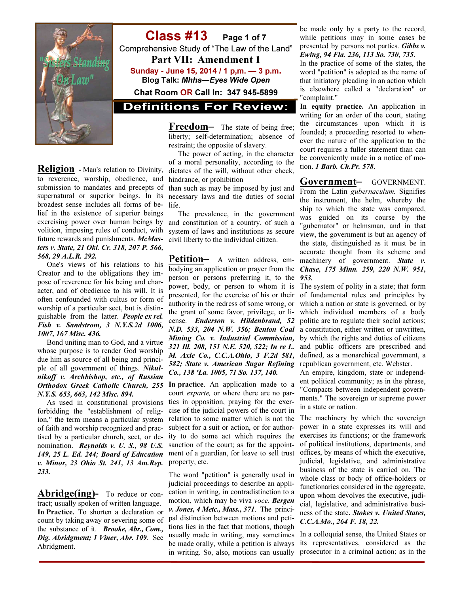

Religion - Man's relation to Divinity, to reverence, worship, obedience, and submission to mandates and precepts of supernatural or superior beings. In its broadest sense includes all forms of belief in the existence of superior beings exercising power over human beings by future rewards and punishments. McMasters v. State, 21 Okl. Cr. 318, 207 P. 566, 568, 29 A.L.R. 292.

 One's views of his relations to his Creator and to the obligations they impose of reverence for his being and character, and of obedience to his will. It is often confounded with cultus or form of worship of a particular sect, but is distinguishable from the latter. People ex rel. Fish v. Sandstrom, 3 N.Y.S.2d 1006, 1007, 167 Misc. 436.

 Bond uniting man to God, and a virtue whose purpose is to render God worship due him as source of all being and principle of all government of things. Nikulnikoff v. Archbishop, etc., of Russian N.Y.S. 653, 663, 142 Misc. 894.

 As used in constitutional provisions forbidding the "establishment of religion," the term means a particular system of faith and worship recognized and practised by a particular church, sect, or denomination. Reynolds v. U. S., 98 U.S. 149, 25 L. Ed. 244; Board of Education v. Minor, 23 Ohio St. 241, 13 Am.Rep. 233.

Abridge(ing)- To reduce or contract; usually spoken of written language. In Practice. To shorten a declaration or count by taking away or severing some of the substance of it. **Brooke**, Abr., Com., Dig. Abridgment; 1 Viner, Abr. 109. See Abridgment.

Class #13 Page 1 of 7 Comprehensive Study of "The Law of the Land" Part VII: Amendment 1 Sunday - June 15, 2014 / 1 p,m. — 3 p.m. Blog Talk: Mhhs—Eyes Wide Open Chat Room OR Call In: 347 945-5899

**Definitions For Review:** 

Freedom- The state of being free; liberty; self-determination; absence of restraint; the opposite of slavery.

 The power of acting, in the character of a moral personality, according to the dictates of the will, without other check, hindrance, or prohibition

than such as may be imposed by just and necessary laws and the duties of social life.

volition, imposing rules of conduct, with system of laws and institutions as secure The prevalence, in the government and constitution of a country, of such a civil liberty to the individual citizen.

> Petition- A written address, embodying an application or prayer from the person or persons preferring it, to the power, body, or person to whom it is presented, for the exercise of his or their authority in the redress of some wrong, or the grant of some favor, privilege, or license. Enderson v. Hildenbrand, 52 N.D. 533, 204 N.W. 356; Benton Coal Mining Co. v. Industrial Commission, 321 Ill. 208, 151 N.E. 520, 522; In re L. M. Axle Co., C.C.A.Ohio, 3 F.2d 581, 582; State v. American Sugar Refining Co., 138 'La. 1005, 71 So. 137, 140.

Orthodox Greek Catholic Church, 255 In practice. An application made to a court exparte, or where there are no parties in opposition, praying for the exercise of the judicial powers of the court in relation to some matter which is not the subject for a suit or action, or for authority to do some act which requires the sanction of the court; as for the appointment of a guardian, for leave to sell trust property, etc.

> The word "petition" is generally used in judicial proceedings to describe an application in writing, in contradistinction to a motion, which may be viva voce. **Bergen** v. Jones, 4 Metc., Mass., 371. The principal distinction between motions and petitions lies in the fact that motions, though usually made in writing, may sometimes be made orally, while a petition is always in writing. So, also, motions can usually

be made only by a party to the record, while petitions may in some cases be presented by persons not parties. Gibbs v. Ewing, 94 Fla. 236, 113 So. 730, 735.

In the practice of some of the states, the word "petition" is adopted as the name of that initiatory pleading in an action which is elsewhere called a "declaration" or "complaint."

In equity practice. An application in writing for an order of the court, stating the circumstances upon which it is founded; a proceeding resorted to whenever the nature of the application to the court requires a fuller statement than can be conveniently made in a notice of motion. 1 Barb. Ch.Pr. 578.

Government– GOVERNMENT.

From the Latin gubernaculum. Signifies the instrument, the helm, whereby the ship to which the state was compared, was guided on its course by the "gubernator" or helmsman, and in that view, the government is but an agency of the state, distinguished as it must be in accurate thought from its scheme and machinery of government. State v. Chase, 175 Minn. 259, 220 N.W. 951, 953.

The system of polity in a state; that form of fundamental rules and principles by which a nation or state is governed, or by which individual members of a body politic are to regulate their social actions; a constitution, either written or unwritten, by which the rights and duties of citizens and public officers are prescribed and defined, as a monarchical government, a republican government, etc. Webster.

An empire, kingdom, state or independent political community; as in the phrase, "Compacts between independent governments." The sovereign or supreme power in a state or nation.

The machinery by which the sovereign power in a state expresses its will and exercises its functions; or the framework of political institutions, departments, and offices, by means of which the executive, judicial, legislative, and administrative business of the state is carried on. The whole class or body of office-holders or functionaries considered in the aggregate, upon whom devolves the executive, judicial, legislative, and administrative business of the state. Stokes v. United States, C.C.A.Mo., 264 F. 18, 22.

In a colloquial sense, the United States or its representatives, considered as the prosecutor in a criminal action; as in the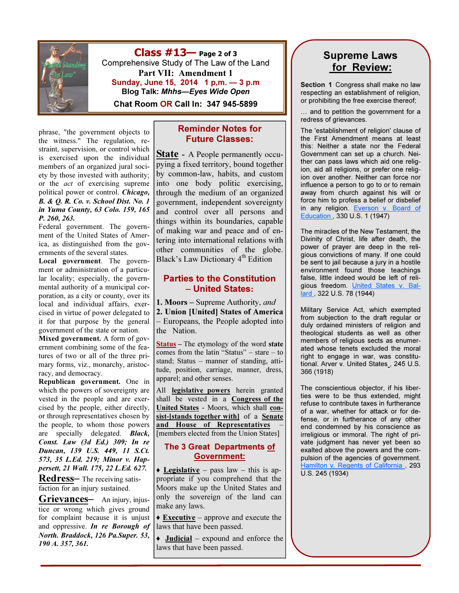

 $Class #13$  Page 2 of 3 Comprehensive Study of The Law of the Land Part VII: Amendment 1 Sunday, June 15, 2014 1 p,m. — 3 p.m Blog Talk: Mhhs—Eyes Wide Open

Chat Room OR Call In: 347 945-5899

phrase, "the government objects to the witness." The regulation, restraint, supervision, or control which is exercised upon the individual members of an organized jural society by those invested with authority; or the act of exercising supreme political power or control. Chicago, B. & Q. R. Co. v. School Dist. No. 1 in Yuma County, 63 Colo. 159, 165 P. 260, 263.

Federal government. The government of the United States of America, as distinguished from the governments of the several states.

Local government. The government or administration of a particular locality; especially, the governmental authority of a municipal corporation, as a city or county, over its local and individual affairs, exercised in virtue of power delegated to it for that purpose by the general government of the state or nation.

Mixed government. A form of government combining some of the features of two or all of the three primary forms, viz., monarchy, aristocracy, and democracy.

Republican government. One in which the powers of sovereignty are vested in the people and are exercised by the people, either directly, or through representatives chosen by the people, to whom those powers are specially delegated. Black, Const. Law (3d Ed.) 309; In re Duncan, 139 U.S. 449, 11 S.Ct. 573, 35 L.Ed. 219; Minor v. Happersett, 21 Wall. 175, 22 L.Ed. 627.

Redress– The receiving satisfaction for an injury sustained.

Grievances— An injury, injustice or wrong which gives ground for complaint because it is unjust and oppressive. In re Borough of North. Braddock, 126 Pa.Super. 53, 190 A. 357, 361.

#### Reminder Notes for Future Classes:

State - A People permanently occupying a fixed territory, bound together by common-law, habits, and custom into one body politic exercising, through the medium of an organized government, independent sovereignty and control over all persons and things within its boundaries, capable of making war and peace and of entering into international relations with other communities of the globe. Black's Law Dictionary  $4<sup>th</sup>$  Edition

#### Parties to the Constitution – United States:

1. Moors – Supreme Authority, and

2. Union [United] States of America

– Europeans, the People adopted into the Nation.

Status – The etymology of the word state comes from the latin "Status" – stare – to stand; Status – manner of standing, attitude, position, carriage, manner, dress, apparel; and other senses.

All **legislative powers** herein granted shall be vested in a **Congress of the** United States - Moors, which shall consist-[stands together with] of a Senate and House of Representatives [members elected from the Union States]

#### The 3 Great Departments of Government:

 $\triangle$  Legislative – pass law – this is appropriate if you comprehend that the Moors make up the United States and only the sovereign of the land can make any laws.

 $\triangle$  **Executive** – approve and execute the laws that have been passed.

 $\rightarrow$  **Judicial** – expound and enforce the laws that have been passed.

## Supreme Laws for Review:

Section 1 Congress shall make no law respecting an establishment of religion, or prohibiting the free exercise thereof;

… and to petition the government for a redress of grievances.

The 'establishment of religion' clause of the First Amendment means at least this: Neither a state nor the Federal Government can set up a church. Neither can pass laws which aid one religion, aid all religions, or prefer one religion over another. Neither can force nor influence a person to go to or to remain away from church against his will or force him to profess a belief or disbelief in any religion. Everson v. Board of Education , 330 U.S. 1 (1947)

The miracles of the New Testament, the Divinity of Christ, life after death, the power of prayer are deep in the religious convictions of many. If one could be sent to jail because a jury in a hostile environment found those teachings false, little indeed would be left of religious freedom. United States v. Ballard , 322 U.S. 78 (1944)

Military Service Act, which exempted from subjection to the draft regular or duly ordained ministers of religion and theological students as well as other members of religious sects as enumerated whose tenets excluded the moral right to engage in war, was constitutional. Arver v. United States , 245 U.S. 366 (1918)

The conscientious objector, if his liberties were to be thus extended, might refuse to contribute taxes in furtherance of a war, whether for attack or for defense, or in furtherance of any other end condemned by his conscience as irreligious or immoral. The right of private judgment has never yet been so exalted above the powers and the compulsion of the agencies of government. Hamilton v. Regents of California , 293 U.S. 245 (1934)